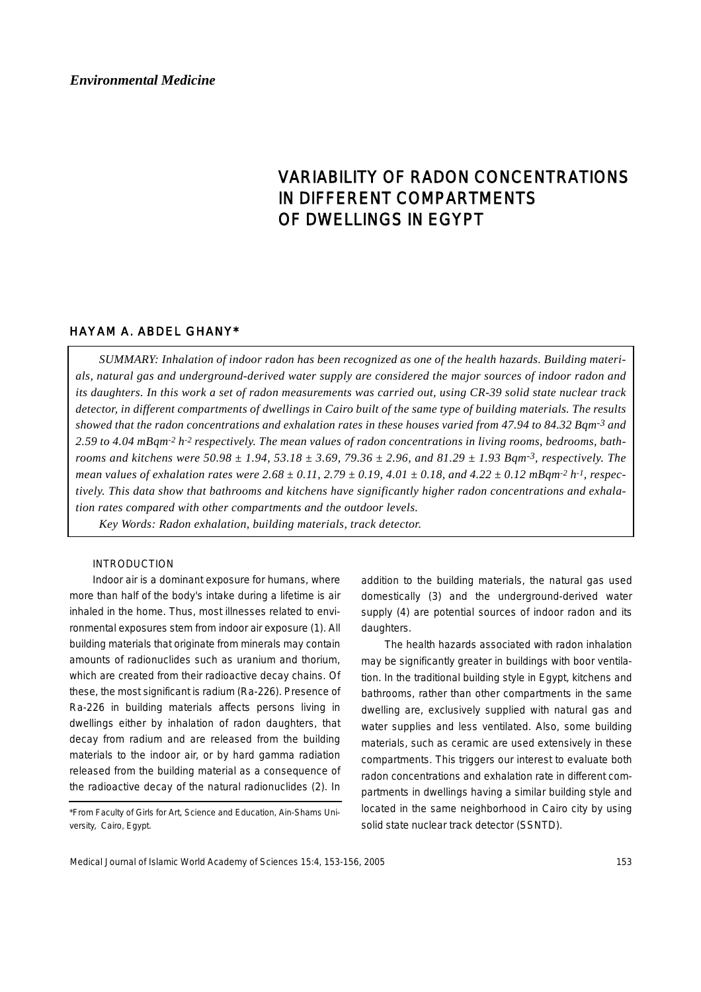# *Environmental Medicine*

# VARIABILITY OF RADON CONCENTRATIONS IN DIFFERENT COMPARTMENTS OF DWELLINGS IN EGYPT

# HAYAM A. ABDEL GHANY\*

*SUMMARY: Inhalation of indoor radon has been recognized as one of the health hazards. Building materials, natural gas and underground-derived water supply are considered the major sources of indoor radon and its daughters. In this work a set of radon measurements was carried out, using CR-39 solid state nuclear track detector, in different compartments of dwellings in Cairo built of the same type of building materials. The results showed that the radon concentrations and exhalation rates in these houses varied from 47.94 to 84.32 Bqm-3 and 2.59 to 4.04 mBqm-2 h-2 respectively. The mean values of radon concentrations in living rooms, bedrooms, bathrooms and kitchens were 50.98 ± 1.94, 53.18 ± 3.69, 79.36 ± 2.96, and 81.29 ± 1.93 Bqm-3, respectively. The mean values of exhalation rates were 2.68 ± 0.11, 2.79 ± 0.19, 4.01 ± 0.18, and 4.22 ± 0.12 mBqm-2 h-1, respectively. This data show that bathrooms and kitchens have significantly higher radon concentrations and exhalation rates compared with other compartments and the outdoor levels.*

*Key Words: Radon exhalation, building materials, track detector.* 

## INTRODUCTION

Indoor air is a dominant exposure for humans, where more than half of the body's intake during a lifetime is air inhaled in the home. Thus, most illnesses related to environmental exposures stem from indoor air exposure (1). All building materials that originate from minerals may contain amounts of radionuclides such as uranium and thorium, which are created from their radioactive decay chains. Of these, the most significant is radium (Ra-226). Presence of Ra-226 in building materials affects persons living in dwellings either by inhalation of radon daughters, that decay from radium and are released from the building materials to the indoor air, or by hard gamma radiation released from the building material as a consequence of the radioactive decay of the natural radionuclides (2). In

addition to the building materials, the natural gas used domestically (3) and the underground-derived water supply (4) are potential sources of indoor radon and its daughters.

The health hazards associated with radon inhalation may be significantly greater in buildings with boor ventilation. In the traditional building style in Egypt, kitchens and bathrooms, rather than other compartments in the same dwelling are, exclusively supplied with natural gas and water supplies and less ventilated. Also, some building materials, such as ceramic are used extensively in these compartments. This triggers our interest to evaluate both radon concentrations and exhalation rate in different compartments in dwellings having a similar building style and located in the same neighborhood in Cairo city by using solid state nuclear track detector (SSNTD).

<sup>\*</sup>From Faculty of Girls for Art, Science and Education, Ain-Shams University, Cairo, Egypt.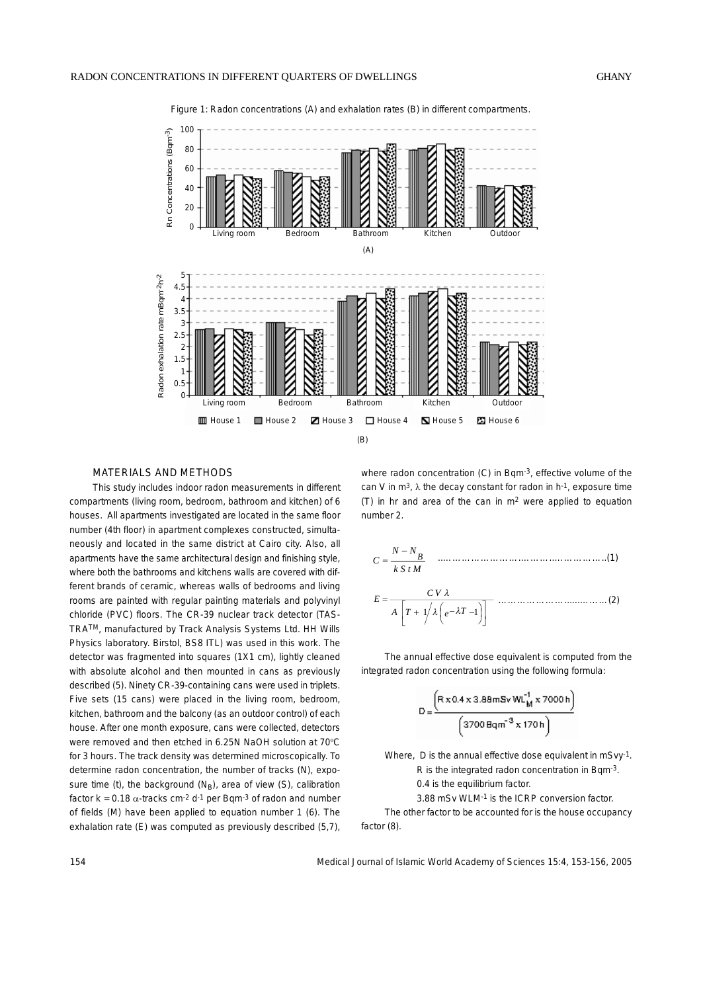

Figure 1: Radon concentrations (A) and exhalation rates (B) in different compartments.

#### MATERIALS AND METHODS

This study includes indoor radon measurements in different compartments (living room, bedroom, bathroom and kitchen) of 6 houses. All apartments investigated are located in the same floor number (4th floor) in apartment complexes constructed, simultaneously and located in the same district at Cairo city. Also, all apartments have the same architectural design and finishing style, where both the bathrooms and kitchens walls are covered with different brands of ceramic, whereas walls of bedrooms and living rooms are painted with regular painting materials and polyvinyl chloride (PVC) floors. The CR-39 nuclear track detector (TAS-TRATM, manufactured by Track Analysis Systems Ltd. HH Wills Physics laboratory. Birstol, BS8 ITL) was used in this work. The detector was fragmented into squares (1X1 cm), lightly cleaned with absolute alcohol and then mounted in cans as previously described (5). Ninety CR-39-containing cans were used in triplets. Five sets (15 cans) were placed in the living room, bedroom, kitchen, bathroom and the balcony (as an outdoor control) of each house. After one month exposure, cans were collected, detectors were removed and then etched in 6.25N NaOH solution at 70ºC for 3 hours. The track density was determined microscopically. To determine radon concentration, the number of tracks (N), exposure time (t), the background  $(N_B)$ , area of view (S), calibration factor  $k = 0.18 \alpha$ -tracks cm<sup>-2</sup> d<sup>-1</sup> per Bqm<sup>-3</sup> of radon and number of fields (M) have been applied to equation number 1 (6). The exhalation rate (E) was computed as previously described (5,7), where radon concentration (C) in Bqm<sup>-3</sup>, effective volume of the can V in  $m^3$ ,  $\lambda$  the decay constant for radon in  $h^{-1}$ , exposure time (T) in hr and area of the can in  $m<sup>2</sup>$  were applied to equation number 2.

$$
C = \frac{N - N_B}{k S t M}
$$
 (1)  

$$
E = \frac{CV \lambda}{A \left[ T + \frac{1}{\lambda} \left( e^{-\lambda T} - 1 \right) \right]}
$$
 (2)

The annual effective dose equivalent is computed from the integrated radon concentration using the following formula:

$$
D = \frac{\left(R \times 0.4 \times 3.88 \text{ mSv WL}_M^1 \times 7000 \text{ h}\right)}{\left(3700 \text{ Bq m}^{-3} \times 170 \text{ h}\right)}
$$

Where, D is the annual effective dose equivalent in mSvy-1. R is the integrated radon concentration in Bqm-3. 0.4 is the equilibrium factor. 3.88 mSv WLM-1 is the ICRP conversion factor.

The other factor to be accounted for is the house occupancy factor (8).

154 Medical Journal of Islamic World Academy of Sciences 15:4, 153-156, 2005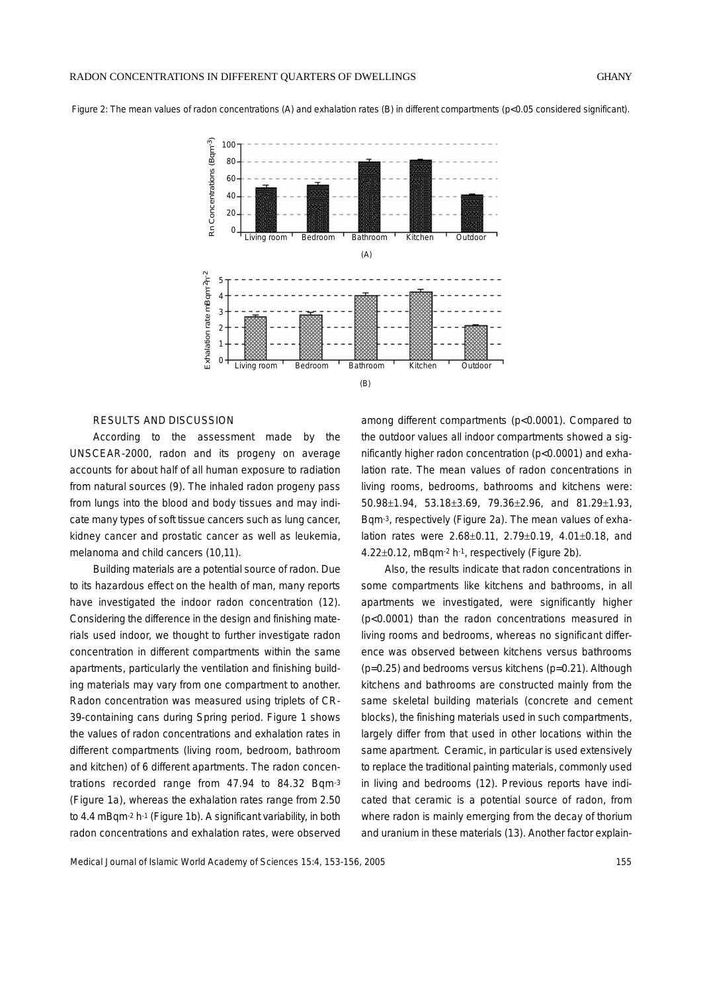Figure 2: The mean values of radon concentrations (A) and exhalation rates (B) in different compartments (p<0.05 considered significant).



## RESULTS AND DISCUSSION

According to the assessment made by the UNSCEAR-2000, radon and its progeny on average accounts for about half of all human exposure to radiation from natural sources (9). The inhaled radon progeny pass from lungs into the blood and body tissues and may indicate many types of soft tissue cancers such as lung cancer, kidney cancer and prostatic cancer as well as leukemia, melanoma and child cancers (10,11).

Building materials are a potential source of radon. Due to its hazardous effect on the health of man, many reports have investigated the indoor radon concentration (12). Considering the difference in the design and finishing materials used indoor, we thought to further investigate radon concentration in different compartments within the same apartments, particularly the ventilation and finishing building materials may vary from one compartment to another. Radon concentration was measured using triplets of CR-39-containing cans during Spring period. Figure 1 shows the values of radon concentrations and exhalation rates in different compartments (living room, bedroom, bathroom and kitchen) of 6 different apartments. The radon concentrations recorded range from 47.94 to 84.32 Bgm-3 (Figure 1a), whereas the exhalation rates range from 2.50 to 4.4 mBqm-2 h-1 (Figure 1b). A significant variability, in both radon concentrations and exhalation rates, were observed

among different compartments (p<0.0001). Compared to the outdoor values all indoor compartments showed a significantly higher radon concentration (p<0.0001) and exhalation rate. The mean values of radon concentrations in living rooms, bedrooms, bathrooms and kitchens were: 50.98±1.94, 53.18±3.69, 79.36±2.96, and 81.29±1.93, Bqm-3, respectively (Figure 2a). The mean values of exhalation rates were 2.68±0.11, 2.79±0.19, 4.01±0.18, and 4.22±0.12, mBqm-2 h-1, respectively (Figure 2b).

Also, the results indicate that radon concentrations in some compartments like kitchens and bathrooms, in all apartments we investigated, were significantly higher (p<0.0001) than the radon concentrations measured in living rooms and bedrooms, whereas no significant difference was observed between kitchens versus bathrooms (p=0.25) and bedrooms versus kitchens (p=0.21). Although kitchens and bathrooms are constructed mainly from the same skeletal building materials (concrete and cement blocks), the finishing materials used in such compartments, largely differ from that used in other locations within the same apartment. Ceramic, in particular is used extensively to replace the traditional painting materials, commonly used in living and bedrooms (12). Previous reports have indicated that ceramic is a potential source of radon, from where radon is mainly emerging from the decay of thorium and uranium in these materials (13). Another factor explain-